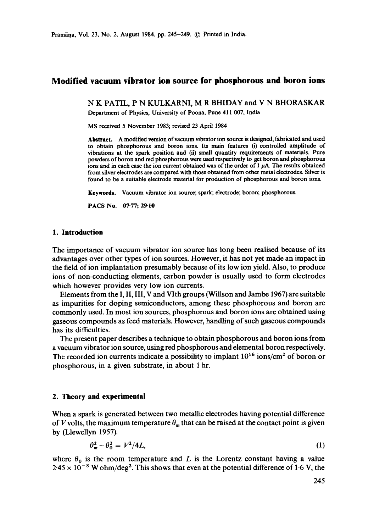# **Modified vacuum vibrator ion source for phosphorous and boron ions**

N K PATIL, P N KULKARNI, M R BHIDAY and V N BHORASKAR Department of Physics, University of Poona, Pune 411 007, India

MS received 5 November 1983; revised 23 April 1984

**Abstract.** A modified version of vacuum vibrator ion source is designed, fabrieated and used to obtain phosphorous and boron ions. Its main features (i) controlled amplitude of vibrations at the spark position and (ii) small quantity requirements of materials. Pure powders of boron and red phosphorous were used respectively to get boron and phosphorous ions and in each case the ion current obtained was of the order of  $1 \mu A$ . The results obtained from silver electrodes are compared with those obtained from other metal electrodes. Silver is found to be a suitable electrode material for production of phosphorous and boron ions.

Keywords. Vacuum vibrator ion source; spark; electrode; boron; phosphorous.

PACS No. 07-77; 29-10

## **1. Introduction**

The importance of vacuum vibrator ion source has long been realised because of its advantages over other types of ion sources. However, it has not yet made an impact in the field of ion implantation presumably because of its low ion yield. Also, to produce ions of non-conducting elements, carbon powder is usually used to form electrodes which however provides very low ion currents.

Elements from the I, II, III, V and Vlth groups (Willson and Jambe 1967) are suitable as impurities for doping semiconductors, among these phosphorous and boron are commonly used. In most ion sources, phosphorous and boron ions are obtained using gaseous compounds as feed materials. However, handling of such gaseous compounds has its difficulties.

The present paper describes a technique to obtain phosphorous and boron ions from a vacuum vibrator ion source, using red phosphorous and elemental boron respectively. The recorded ion currents indicate a possibility to implant  $10^{16}$  ions/cm<sup>2</sup> of boron or phosphorous, in a given substrate, in about 1 hr.

## **2. Theory and experimental**

When a spark is generated between two metallic electrodes having potential difference of V volts, the maximum temperature  $\theta_m$  that can be raised at the contact point is given by (Llewellyn 1957).

$$
\theta_m^2 - \theta_0^2 = V^2/4L,\tag{1}
$$

where  $\theta_0$  is the room temperature and L is the Lorentz constant having a value  $2.45 \times 10^{-8}$  W ohm/deg<sup>2</sup>. This shows that even at the potential difference of 1.6 V, the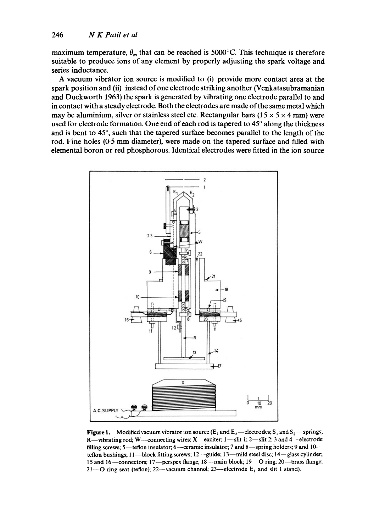maximum temperature,  $\theta_m$  that can be reached is 5000°C. This technique is therefore suitable to produce ions of any element by properly adjusting the spark voltage and series inductance.

A vacuum vibrator ion source is modified to (i) provide more contact area at the spark position and (ii) instead of one electrode striking another (Venkatasubramanian and Duckworth 1963) the spark is generated by vibrating one electrode parallel to and in contact with a steady electrode. Both the electrodes are made of the same metal which may be aluminium, silver or stainless steel etc. Rectangular bars ( $15 \times 5 \times 4$  mm) were used for electrode formation. One end of each rod is tapered to  $45^{\circ}$  along the thickness and is bent to  $45^\circ$ , such that the tapered surface becomes parallel to the length of the rod. Fine holes (0-5 mm diameter), were made on the tapered surface and filled with elemental boron or red phosphorous. Identical electrodes were fitted in the ion source



**Figure 1.** Modified vacuum vibrator ion source  $(E_1 \text{ and } E_2$ —electrodes;  $S_1$  and  $S_2$ —springs; R—vibrating rod; W—connecting wires; X—exciter;  $1$ —slit 1;  $2$ —slit 2; 3 and 4—electrode filling screws; 5-teflon insulator; 6--ceramic insulator; 7 and 8-spring holders; 9 and 10-teflon bushings; 11-block fitting screws; 12--guide; 13-mild steel disc; 14-glass cylinder; 15 and 16-connectors; 17--perspex flange; 18--main block; 19-O ring; 20--brass flange; 21- $\sim$ O ring seat (teflon); 22--vacuum channol; 23--electrode  $E_1$  and slit 1 stand).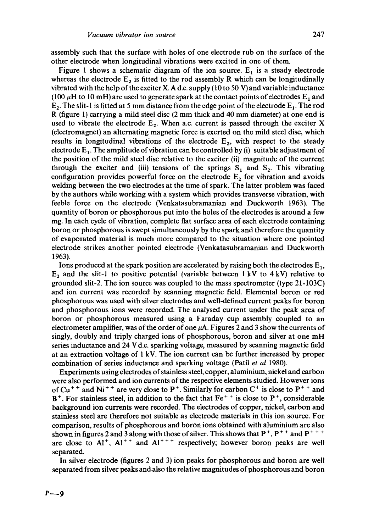assembly such that the surface with holes of one electrode rub on the surface of the other electrode when longitudinal vibrations were excited in one of them.

Figure 1 shows a schematic diagram of the ion source.  $E_1$  is a steady electrode whereas the electrode  $E_2$  is fitted to the rod assembly R which can be longitudinally vibrated with the help of the exciter X. A d.c. supply (10 to 50 V) and variable inductance (100  $\mu$ H to 10 mH) are used to generate spark at the contact points of electrodes  $E_1$  and  $E_2$ . The slit-1 is fitted at 5 mm distance from the edge point of the electrode  $E_1$ . The rod R (figure 1) carrying a mild steel disc (2 mm thick and 40 mm diameter) at one end is used to vibrate the electrode  $E_7$ . When a.c. current is passed through the exciter X (electromagnet) an alternating magnetic force is exerted on the mild steel disc, which results in longitudinal vibrations of the electrode  $E_2$ , with respect to the steady electrode  $E_1$ . The amplitude of vibration can be controlled by (i) suitable adjustment of the position of the mild steel disc relative to the exciter (ii) magnitude of the current through the exciter and (iii) tensions of the springs  $S_1$  and  $S_2$ . This vibrating configuration provides powerful force on the electrode  $E<sub>2</sub>$  for vibration and avoids welding between the two electrodes at the time of spark. The latter problem was faced by the authors while working with a system which provides transverse vibration, with feeble force on the electrode (Venkatasubramanian and Duckworth 1963). The quantity of boron or phosphorous put into the holes of the electrodes is around a few mg. In each cycle of vibration, Complete fiat surface area of each electrode containing boron or phosphorous is swept simultaneously by the spark and therefore the quantity of evaporated material is much more compared to the situation where one pointed electrode strikes another pointed electrode (Venkatasubramanian and Duckworth 1963).

Ions produced at the spark position are accelerated by raising both the electrodes  $E_1$ ,  $E_2$  and the slit-1 to positive potential (variable between 1 kV to 4 kV) relative to grounded slit-2. The ion source was coupled to the mass spectrometer (type 21-103C) and ion current was recorded by scanning magnetic field. Elemental boron or red phosphorous was used with silver electrodes and well-defined current peaks for boron and phosphorous ions were recorded. The analysed current under the peak area of boron or phosphorous measured using a Faraday cup assembly coupled to an electrometer amplifier, was of the order of one  $\mu$ A. Figures 2 and 3 show the currents of singly, doubly and triply charged ions of phosphorous, boron and silver at one mH series inductance and 24 V d.c. sparking voltage, measured by scanning magnetic field at an extraction voltage of 1 kV. The ion current can be further increased by proper combination of series inductance and sparking voltage (Patil *et al* 1980).

Experiments using electrodes of stainless steel, copper, aluminium, nickel and carbon were also performed and ion currents of the respective elements studied. However ions of Cu<sup>++</sup> and Ni<sup>++</sup> are very close to P<sup>+</sup>. Similarly for carbon C<sup>+</sup> is close to P<sup>++</sup> and  $B^+$ . For stainless steel, in addition to the fact that  $Fe^{++}$  is close to  $P^+$ , considerable background ion currents were recorded. The electrodes of copper, nickel, carbon and stainless steel are therefore not suitable as electrode materials in this ion source. For comparison, results of phosphorous and boron ions obtained with aluminium are also shown in figures 2 and 3 along with those of silver. This shows that  $P^+$ ,  $P^{++}$  and  $P^{++}$ are close to  $Al^+$ ,  $Al^{++}$  and  $Al^{++}$  respectively; however boron peaks are well separated.

In silver electrode (figures 2 and 3) ion peaks for phosphorous and boron are well separated from silver peaks andalso the relative magnitudes of phosphorous and boron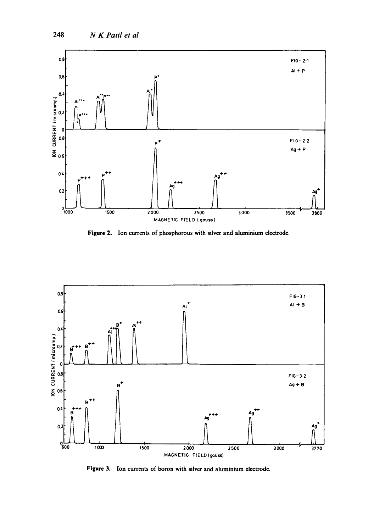

Figure 2. Ion currents of phosphorous with silver and aluminium electrode.



Figure 3. Ion currents of boron with silver and aluminium electrode.